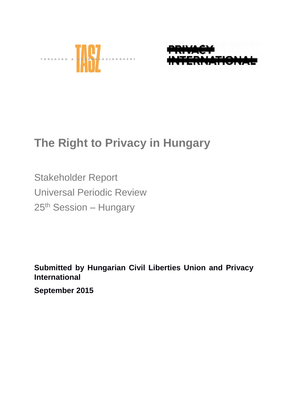



# **The Right to Privacy in Hungary**

Stakeholder Report Universal Periodic Review 25th Session – Hungary

**Submitted by Hungarian Civil Liberties Union and Privacy International**

**September 2015**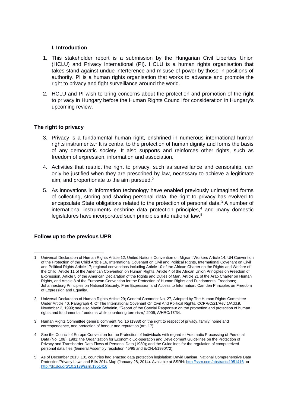## **I. Introduction**

- 1. This stakeholder report is a submission by the Hungarian Civil Liberties Union (HCLU) and Privacy International (PI). HCLU is a human rights organisation that takes stand against undue interference and misuse of power by those in positions of authority. PI is a human rights organisation that works to advance and promote the right to privacy and fight surveillance around the world.
- 2. HCLU and PI wish to bring concerns about the protection and promotion of the right to privacy in Hungary before the Human Rights Council for consideration in Hungary's upcoming review.

# **The right to privacy**

- 3. Privacy is a fundamental human right, enshrined in numerous international human rights instruments.<sup>1</sup> It is central to the protection of human dignity and forms the basis of any democratic society. It also supports and reinforces other rights, such as freedom of expression, information and association.
- 4. Activities that restrict the right to privacy, such as surveillance and censorship, can only be justified when they are prescribed by law, necessary to achieve a legitimate aim, and proportionate to the aim pursued.<sup>2</sup>
- 5. As innovations in information technology have enabled previously unimagined forms of collecting, storing and sharing personal data, the right to privacy has evolved to encapsulate State obligations related to the protection of personal data.<sup>3</sup> A number of  $interhational$  instruments enshrine data protection principles.<sup>4</sup> and many domestic legislatures have incorporated such principles into national law.<sup>5</sup>

# **Follow up to the previous UPR**

**<sup>.</sup>** 1 Universal Declaration of Human Rights Article 12, United Nations Convention on Migrant Workers Article 14, UN Convention of the Protection of the Child Article 16, International Covenant on Civil and Political Rights, International Covenant on Civil and Political Rights Article 17; regional conventions including Article 10 of the African Charter on the Rights and Welfare of the Child, Article 11 of the American Convention on Human Rights, Article 4 of the African Union Principles on Freedom of Expression, Article 5 of the American Declaration of the Rights and Duties of Man, Article 21 of the Arab Charter on Human Rights, and Article 8 of the European Convention for the Protection of Human Rights and Fundamental Freedoms; Johannesburg Principles on National Security, Free Expression and Access to Information, Camden Principles on Freedom of Expression and Equality.

<sup>2</sup> Universal Declaration of Human Rights Article 29; General Comment No. 27, Adopted by The Human Rights Committee Under Article 40, Paragraph 4, Of The International Covenant On Civil And Political Rights, CCPR/C/21/Rev.1/Add.9, November 2, 1999; see also Martin Scheinin, "Report of the Special Rapporteur on the promotion and protection of human rights and fundamental freedoms while countering terrorism," 2009, A/HRC/17/34.

<sup>3</sup> Human Rights Committee general comment No. 16 (1988) on the right to respect of privacy, family, home and correspondence, and protection of honour and reputation (art. 17).

<sup>4</sup> See the Council of Europe Convention for the Protection of Individuals with regard to Automatic Processing of Personal Data (No. 108), 1981; the Organization for Economic Co-operation and Development Guidelines on the Protection of Privacy and Transborder Data Flows of Personal Data (1980); and the Guidelines for the regulation of computerized personal data files (General Assembly resolution 45/95 and E/CN.4/1990/72)

<sup>5</sup> As of December 2013, 101 countries had enacted data protection legislation: David Banisar, National Comprehensive Data Protection/Privacy Laws and Bills 2014 Map (January 28, 2014). Available at SSRN[: http://ssrn.com/abstract=1951416](http://ssrn.com/abstract=1951416) or <http://dx.doi.org/10.2139/ssrn.1951416>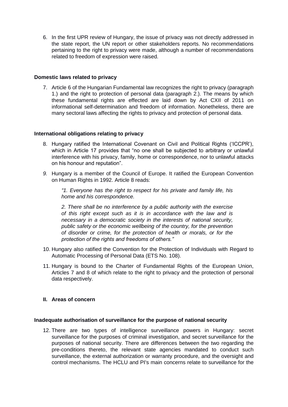6. In the first UPR review of Hungary, the issue of privacy was not directly addressed in the state report, the UN report or other stakeholders reports. No recommendations pertaining to the right to privacy were made, although a number of recommendations related to freedom of expression were raised.

## **Domestic laws related to privacy**

7. Article 6 of the Hungarian Fundamental law recognizes the right to privacy (paragraph 1.) and the right to protection of personal data (paragraph 2.). The means by which these fundamental rights are effected are laid down by Act CXII of 2011 on informational self-determination and freedom of information. Nonetheless, there are many sectoral laws affecting the rights to privacy and protection of personal data.

## **International obligations relating to privacy**

- 8. Hungary ratified the International Covenant on Civil and Political Rights ('ICCPR'), which in Article 17 provides that "no one shall be subjected to arbitrary or unlawful interference with his privacy, family, home or correspondence, nor to unlawful attacks on his honour and reputation".
- *9.* Hungary is a member of the Council of Europe. It ratified the European Convention on Human Rights in 1992. Article 8 reads:

*"1. Everyone has the right to respect for his private and family life, his home and his correspondence.* 

*2. There shall be no interference by a public authority with the exercise of this right except such as it is in accordance with the law and is necessary in a democratic society in the interests of national security, public safety or the economic wellbeing of the country, for the prevention of disorder or crime, for the protection of health or morals, or for the protection of the rights and freedoms of others."*

- 10. Hungary also ratified the Convention for the Protection of Individuals with Regard to Automatic Processing of Personal Data (ETS No. 108).
- 11. Hungary is bound to the Charter of Fundamental Rights of the European Union, Articles 7 and 8 of which relate to the right to privacy and the protection of personal data respectively.

## **II. Areas of concern**

#### **Inadequate authorisation of surveillance for the purpose of national security**

12. There are two types of intelligence surveillance powers in Hungary: secret surveillance for the purposes of criminal investigation, and secret surveillance for the purposes of national security. There are differences between the two regarding the pre-conditions thereto, the relevant state agencies mandated to conduct such surveillance, the external authorization or warranty procedure, and the oversight and control mechanisms. The HCLU and PI's main concerns relate to surveillance for the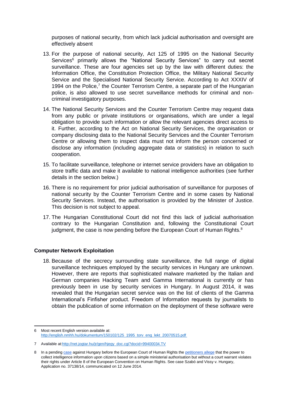purposes of national security, from which lack judicial authorisation and oversight are effectively absent

- 13. For the purpose of national security, Act 125 of 1995 on the National Security Services<sup>6</sup> primarily allows the "National Security Services" to carry out secret surveillance. These are four agencies set up by the law with different duties: the Information Office, the Constitution Protection Office, the Military National Security Service and the Specialised National Security Service. According to Act XXXIV of 1994 on the Police, $<sup>7</sup>$  the Counter Terrorism Centre, a separate part of the Hungarian</sup> police, is also allowed to use secret surveillance methods for criminal and noncriminal investigatory purposes.
- 14. The National Security Services and the Counter Terrorism Centre may request data from any public or private institutions or organisations, which are under a legal obligation to provide such information or allow the relevant agencies direct access to it. Further, according to the Act on National Security Services, the organisation or company disclosing data to the National Security Services and the Counter Terrorism Centre or allowing them to inspect data must not inform the person concerned or disclose any information (including aggregate data or statistics) in relation to such cooperation.
- 15. To facilitate surveillance, telephone or internet service providers have an obligation to store traffic data and make it available to national intelligence authorities (see further details in the section below.)
- 16. There is no requirement for prior judicial authorisation of surveillance for purposes of national security by the Counter Terrorism Centre and in some cases by National Security Services. Instead, the authorisation is provided by the Minister of Justice. This decision is not subject to appeal.
- 17. The Hungarian Constitutional Court did not find this lack of judicial authorisation contrary to the Hungarian Constitution and, following the Constitutional Court judgment, the case is now pending before the European Court of Human Rights.<sup>8</sup>

#### **Computer Network Exploitation**

18. Because of the secrecy surrounding state surveillance, the full range of digital surveillance techniques employed by the security services in Hungary are unknown. However, there are reports that sophisticated malware marketed by the Italian and German companies Hacking Team and Gamma International is currently or has previously been in use by security services in Hungary. In August 2014, it was revealed that the Hungarian secret service was on the list of clients of the Gamma International's Finfisher product. Freedom of Information requests by journalists to obtain the publication of some information on the deployment of these software were

**<sup>.</sup>** 6 Most recent English version available at: [http://english.nmhh.hu/dokumentum/150102/125\\_1995\\_torv\\_eng\\_lekt\\_20070515.pdf](http://english.nmhh.hu/dokumentum/150102/125_1995_torv_eng_lekt_20070515.pdf)

<sup>7</sup> Available a[t:http://net.jogtar.hu/jr/gen/hjegy\\_doc.cgi?docid=99400034.TV](http://net.jogtar.hu/jr/gen/hjegy_doc.cgi?docid=99400034.TV)

<sup>8</sup> In a pending case against Hungary before the European Court of Human Rights the [petitioners allege](http://www.i-m.mx/szabomat/SzaboAndVissyVHungary/) that the power to collect intelligence information upon citizens based on a simple ministerial authorisation but without a court warrant violates their rights under Article 8 of the European Convention on Human Rights. See case Szabó and Vissy v. Hungary, Application no. 37138/14, communicated on 12 June 2014.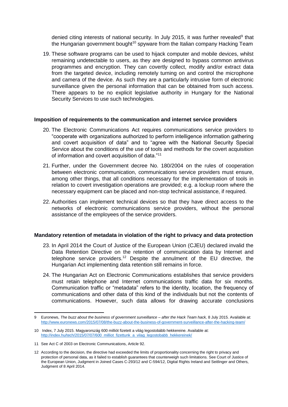denied citing interests of national security. In July 2015, it was further revealed<sup>9</sup> that the Hungarian government bought<sup>10</sup> spyware from the Italian company Hacking Team

19. These software programs can be used to hijack computer and mobile devices, whilst remaining undetectable to users, as they are designed to bypass common antivirus programmes and encryption. They can covertly collect, modify and/or extract data from the targeted device, including remotely turning on and control the microphone and camera of the device. As such they are a particularly intrusive form of electronic surveillance given the personal information that can be obtained from such access. There appears to be no explicit legislative authority in Hungary for the National Security Services to use such technologies.

#### **Imposition of requirements to the communication and internet service providers**

- 20. The Electronic Communications Act requires communications service providers to "cooperate with organizations authorized to perform intelligence information gathering and covert acquisition of data" and to "agree with the National Security Special Service about the conditions of the use of tools and methods for the covert acquisition of information and covert acquisition of data."<sup>11</sup>
- 21. Further, under the Government decree No. 180/2004 on the rules of cooperation between electronic communication, communications service providers must ensure, among other things, that all conditions necessary for the implementation of tools in relation to covert investigation operations are provided; e.g. a lockup room where the necessary equipment can be placed and non-stop technical assistance, if required.
- 22. Authorities can implement technical devices so that they have direct access to the networks of electronic communications service providers, without the personal assistance of the employees of the service providers.

## **Mandatory retention of metadata in violation of the right to privacy and data protection**

- 23. In April 2014 the Court of Justice of the European Union (CJEU) declared invalid the Data Retention Directive on the retention of communication data by Internet and telephone service providers.<sup>12</sup> Despite the annulment of the EU directive, the Hungarian Act implementing data retention still remains in force.
- 24. The Hungarian Act on Electronic Communications establishes that service providers must retain telephone and Internet communications traffic data for six months. Communication traffic or "metadata" refers to the identity, location, the frequency of communications and other data of this kind of the individuals but not the contents of communications. However, such data allows for drawing accurate conclusions

**<sup>.</sup>** 9 Euronews, *The buzz about the business of government surveillance – after the Hack Team hack,* 8 July 2015. Available at: <http://www.euronews.com/2015/07/08/the-buzz-about-the-business-of-government-surveillance-after-the-hacking-team/>

<sup>10</sup> Index, 7 July 2015. Magyarország 600 milliót fizetett a világ legostobább hekkereine. Available at: [http://index.hu/tech/2015/07/07/600\\_milliot\\_fizettunk\\_a\\_vilag\\_legostobabb\\_hekkereinek/](http://index.hu/tech/2015/07/07/600_milliot_fizettunk_a_vilag_legostobabb_hekkereinek/)

<sup>11</sup> See Act C of 2003 on Electronic Communications, Article 92.

<sup>12</sup> According to the decision, the directive had exceeded the limits of proportionality concerning the right to privacy and protection of personal data, as it failed to establish guarantees that counterweigh such limitations. See Court of Justice of the European Union, Judgment in Joined Cases C-293/12 and C-594/12, Digital Rights Ireland and Seitlinger and Others, Judgment of 8 April 2014.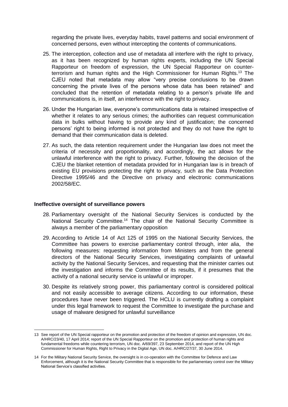regarding the private lives, everyday habits, travel patterns and social environment of concerned persons, even without intercepting the contents of communications.

- 25. The interception, collection and use of metadata all interfere with the right to privacy, as it has been recognized by human rights experts, including the UN Special Rapporteur on freedom of expression, the UN Special Rapporteur on counterterrorism and human rights and the High Commissioner for Human Rights.<sup>13</sup> The CJEU noted that metadata may allow "very precise conclusions to be drawn concerning the private lives of the persons whose data has been retained" and concluded that the retention of metadata relating to a person's private life and communications is, in itself, an interference with the right to privacy.
- 26. Under the Hungarian law, everyone's communications data is retained irrespective of whether it relates to any serious crimes; the authorities can request communication data in bulks without having to provide any kind of justification; the concerned persons' right to being informed is not protected and they do not have the right to demand that their communication data is deleted.
- 27. As such, the data retention requirement under the Hungarian law does not meet the criteria of necessity and proportionality, and accordingly, the act allows for the unlawful interference with the right to privacy. Further, following the decision of the CJEU the blanket retention of metadata provided for in Hungarian law is in breach of existing EU provisions protecting the right to privacy, such as the Data Protection Directive 1995/46 and the Directive on privacy and electronic communications 2002/58/EC.

#### **Ineffective oversight of surveillance powers**

 $\overline{a}$ 

- 28. Parliamentary oversight of the National Security Services is conducted by the National Security Committee.<sup>14</sup> The chair of the National Security Committee is always a member of the parliamentary opposition
- 29. According to Article 14 of Act 125 of 1995 on the National Security Services, the Committee has powers to exercise parliamentary control through, inter alia, the following measures: requesting information from Ministers and from the general directors of the National Security Services, investigating complaints of unlawful activity by the National Security Services, and requesting that the minister carries out the investigation and informs the Committee of its results, if it presumes that the activity of a national security service is unlawful or improper.
- 30. Despite its relatively strong power, this parliamentary control is considered political and not easily accessible to average citizens. According to our information, these procedures have never been triggered. The HCLU is currently drafting a complaint under this legal framework to request the Committee to investigate the purchase and usage of malware designed for unlawful surveillance

<sup>13</sup> See report of the UN Special rapporteur on the promotion and protection of the freedom of opinion and expression, UN doc. A/HRC/23/40, 17 April 2014; report of the UN Special Rapporteur on the promotion and protection of human rights and fundamental freedoms while countering terrorism, UN doc. A/69/397, 23 September 2014, and report of the UN High Commissioner for Human Rights, Right to Privacy in the Digital Age, UN doc. A/HRC/27/37, 30 June 2014.

<sup>14</sup> For the Military National Security Service, the oversight is in co-operation with the Committee for Defence and Law Enforcement, although it is the National Security Committee that is responsible for the parliamentary control over the Military National Service's classified activities.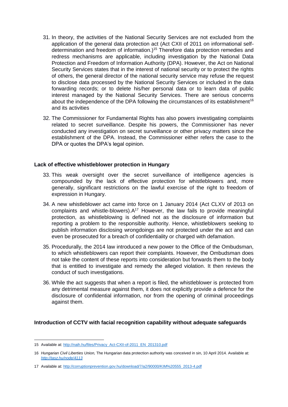- 31. In theory, the activities of the National Security Services are not excluded from the application of the general data protection act (Act CXII of 2011 on informational selfdetermination and freedom of information.)<sup>15</sup> Therefore data protection remedies and redress mechanisms are applicable, including investigation by the National Data Protection and Freedom of Information Authority (DPA). However, the Act on National Security Services states that in the interest of national security or to protect the rights of others, the general director of the national security service may refuse the request to disclose data processed by the National Security Services or included in the data forwarding records; or to delete his/her personal data or to learn data of public interest managed by the National Security Services. There are serious concerns about the independence of the DPA following the circumstances of its establishment<sup>16</sup> and its activities
- 32. The Commissioner for Fundamental Rights has also powers investigating complaints related to secret surveillance. Despite his powers, the Commissioner has never conducted any investigation on secret surveillance or other privacy matters since the establishment of the DPA. Instead, the Commissioner either refers the case to the DPA or quotes the DPA's legal opinion.

## **Lack of effective whistleblower protection in Hungary**

- 33. This weak oversight over the secret surveillance of intelligence agencies is compounded by the lack of effective protection for whistleblowers and, more generally, significant restrictions on the lawful exercise of the right to freedom of expression in Hungary.
- 34. A new whistleblower act came into force on 1 January 2014 (Act CLXV of 2013 on complaints and whistle-blowers). A<sup>17</sup> However, the law fails to provide meaningful protection, as whistleblowing is defined not as the disclosure of information but reporting a problem to the responsible authority. Hence, whistleblowers seeking to publish information disclosing wrongdoings are not protected under the act and can even be prosecuted for a breach of confidentiality or charged with defamation.
- 35. Procedurally, the 2014 law introduced a new power to the Office of the Ombudsman, to which whistleblowers can report their complaints. However, the Ombudsman does not take the content of these reports into consideration but forwards them to the body that is entitled to investigate and remedy the alleged violation. It then reviews the conduct of such investigations.
- 36. While the act suggests that when a report is filed, the whistleblower is protected from any detrimental measure against them, it does not explicitly provide a defence for the disclosure of confidential information, nor from the opening of criminal proceedings against them.

# **Introduction of CCTV with facial recognition capability without adequate safeguards**

 $\overline{a}$ 15 Available at: [http://naih.hu/files/Privacy\\_Act-CXII-of-2011\\_EN\\_201310.pdf](http://naih.hu/files/Privacy_Act-CXII-of-2011_EN_201310.pdf) 

<sup>16</sup> *Hungarian Civil Liberties Union,* The Hungarian data protection authority was conceived in sin, 10 April 2014. Available at: *<http://tasz.hu/node/4113>*

<sup>17</sup> Available at: [http://corruptionprevention.gov.hu/download/7/a2/90000/KIM%20555\\_2013-4.pdf](http://corruptionprevention.gov.hu/download/7/a2/90000/KIM%20555_2013-4.pdf)